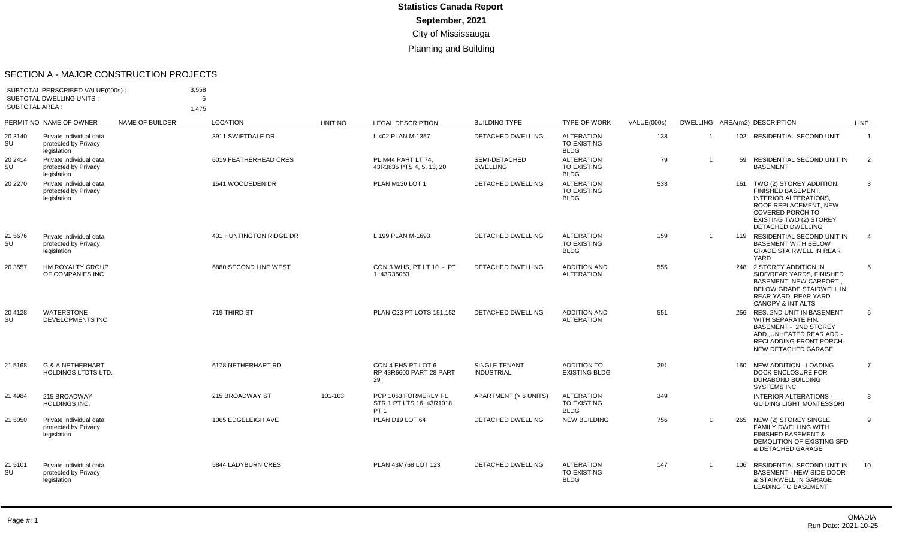#### SECTION A - MAJOR CONSTRUCTION PROJECTS

| SUBTOTAL AREA : | SUBTOTAL PERSCRIBED VALUE(000s):<br><b>SUBTOTAL DWELLING UNITS:</b> |                 | 3,558<br>5<br>1.475     |                |                                                                     |                                    |                                                        |             |                |     |                                                                                                                                                                                               |                |
|-----------------|---------------------------------------------------------------------|-----------------|-------------------------|----------------|---------------------------------------------------------------------|------------------------------------|--------------------------------------------------------|-------------|----------------|-----|-----------------------------------------------------------------------------------------------------------------------------------------------------------------------------------------------|----------------|
|                 | PERMIT NO NAME OF OWNER                                             | NAME OF BUILDER | <b>LOCATION</b>         | <b>UNIT NO</b> | <b>LEGAL DESCRIPTION</b>                                            | <b>BUILDING TYPE</b>               | <b>TYPE OF WORK</b>                                    | VALUE(000s) |                |     | DWELLING AREA(m2) DESCRIPTION                                                                                                                                                                 | <b>LINE</b>    |
| 20 3140<br>SU   | Private individual data<br>protected by Privacy<br>legislation      |                 | 3911 SWIFTDALE DR       |                | L 402 PLAN M-1357                                                   | DETACHED DWELLING                  | <b>ALTERATION</b><br>TO EXISTING<br><b>BLDG</b>        | 138         | $\overline{1}$ |     | 102 RESIDENTIAL SECOND UNIT                                                                                                                                                                   | $\overline{1}$ |
| 20 2414<br>SU   | Private individual data<br>protected by Privacy<br>legislation      |                 | 6019 FEATHERHEAD CRES   |                | PL M44 PART LT 74.<br>43R3835 PTS 4, 5, 13, 20                      | SEMI-DETACHED<br><b>DWELLING</b>   | <b>ALTERATION</b><br><b>TO EXISTING</b><br><b>BLDG</b> | 79          | $\overline{1}$ | 59  | RESIDENTIAL SECOND UNIT IN<br><b>BASEMENT</b>                                                                                                                                                 | 2              |
| 20 2270         | Private individual data<br>protected by Privacy<br>legislation      |                 | 1541 WOODEDEN DR        |                | PLAN M130 LOT 1                                                     | <b>DETACHED DWELLING</b>           | <b>ALTERATION</b><br>TO EXISTING<br><b>BLDG</b>        | 533         |                |     | 161 TWO (2) STOREY ADDITION,<br>FINISHED BASEMENT.<br><b>INTERIOR ALTERATIONS.</b><br>ROOF REPLACEMENT, NEW<br><b>COVERED PORCH TO</b><br>EXISTING TWO (2) STOREY<br><b>DETACHED DWELLING</b> | 3              |
| 21 5676<br>SU   | Private individual data<br>protected by Privacy<br>legislation      |                 | 431 HUNTINGTON RIDGE DR |                | L 199 PLAN M-1693                                                   | <b>DETACHED DWELLING</b>           | <b>ALTERATION</b><br><b>TO EXISTING</b><br><b>BLDG</b> | 159         | $\overline{1}$ |     | 119 RESIDENTIAL SECOND UNIT IN<br><b>BASEMENT WITH BELOW</b><br><b>GRADE STAIRWELL IN REAR</b><br>YARD                                                                                        | $\overline{4}$ |
| 20 3557         | HM ROYALTY GROUP<br>OF COMPANIES INC                                |                 | 6880 SECOND LINE WEST   |                | CON 3 WHS, PT LT 10 - PT<br>1 43R35053                              | <b>DETACHED DWELLING</b>           | <b>ADDITION AND</b><br><b>ALTERATION</b>               | 555         |                |     | 248 2 STOREY ADDITION IN<br>SIDE/REAR YARDS, FINISHED<br><b>BASEMENT, NEW CARPORT.</b><br><b>BELOW GRADE STAIRWELL IN</b><br>REAR YARD, REAR YARD<br>CANOPY & INT ALTS                        | 5              |
| 20 41 28<br>SU  | <b>WATERSTONE</b><br><b>DEVELOPMENTS INC</b>                        |                 | 719 THIRD ST            |                | PLAN C23 PT LOTS 151.152                                            | <b>DETACHED DWELLING</b>           | <b>ADDITION AND</b><br><b>ALTERATION</b>               | 551         |                |     | 256 RES. 2ND UNIT IN BASEMENT<br>WITH SEPARATE FIN.<br><b>BASEMENT - 2ND STOREY</b><br>ADD. UNHEATED REAR ADD.-<br>RECLADDING-FRONT PORCH-<br>NEW DETACHED GARAGE                             | 6              |
| 21 51 68        | G & A NETHERHART<br><b>HOLDINGS LTDTS LTD.</b>                      |                 | 6178 NETHERHART RD      |                | CON 4 EHS PT LOT 6<br>RP 43R6600 PART 28 PART<br>29                 | SINGLE TENANT<br><b>INDUSTRIAL</b> | <b>ADDITION TO</b><br><b>EXISTING BLDG</b>             | 291         |                | 160 | NEW ADDITION - LOADING<br>DOCK ENCLOSURE FOR<br>DURABOND BUILDING<br><b>SYSTEMS INC</b>                                                                                                       | $\overline{7}$ |
| 21 4984         | 215 BROADWAY<br>HOLDINGS INC.                                       |                 | 215 BROADWAY ST         | 101-103        | PCP 1063 FORMERLY PL<br>STR 1 PT LTS 16, 43R1018<br>PT <sub>1</sub> | APARTMENT (> 6 UNITS)              | <b>ALTERATION</b><br>TO EXISTING<br><b>BLDG</b>        | 349         |                |     | <b>INTERIOR ALTERATIONS -</b><br><b>GUIDING LIGHT MONTESSORI</b>                                                                                                                              | 8              |
| 21 5050         | Private individual data<br>protected by Privacy<br>legislation      |                 | 1065 EDGELEIGH AVE      |                | PLAN D19 LOT 64                                                     | <b>DETACHED DWELLING</b>           | <b>NEW BUILDING</b>                                    | 756         | $\overline{1}$ |     | 265 NEW (2) STOREY SINGLE<br><b>FAMILY DWELLING WITH</b><br><b>FINISHED BASEMENT &amp;</b><br>DEMOLITION OF EXISTING SFD<br>& DETACHED GARAGE                                                 | 9              |
| 21 5101<br>SU   | Private individual data<br>protected by Privacy<br>legislation      |                 | 5844 LADYBURN CRES      |                | PLAN 43M768 LOT 123                                                 | <b>DETACHED DWELLING</b>           | <b>ALTERATION</b><br>TO EXISTING<br><b>BLDG</b>        | 147         | $\overline{1}$ | 106 | RESIDENTIAL SECOND UNIT IN<br><b>BASEMENT - NEW SIDE DOOR</b><br>& STAIRWELL IN GARAGE<br><b>LEADING TO BASEMENT</b>                                                                          | 10             |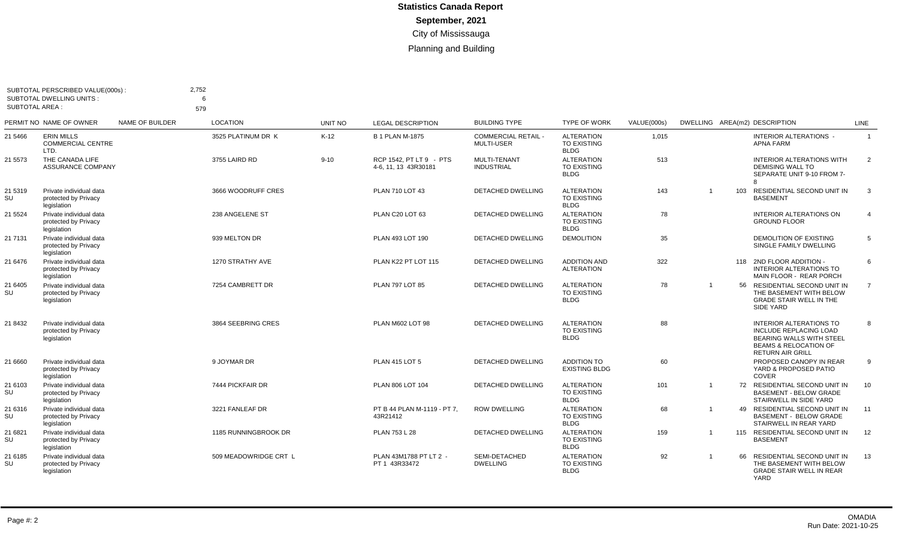| <b>SUBTOTAL AREA:</b> | SUBTOTAL PERSCRIBED VALUE(000s):<br><b>SUBTOTAL DWELLING UNITS:</b> |                        | 2,752<br>6<br>579     |                |                                                 |                                                 |                                                        |             |                |     |                                                                                                                                                     |                |
|-----------------------|---------------------------------------------------------------------|------------------------|-----------------------|----------------|-------------------------------------------------|-------------------------------------------------|--------------------------------------------------------|-------------|----------------|-----|-----------------------------------------------------------------------------------------------------------------------------------------------------|----------------|
|                       | PERMIT NO NAME OF OWNER                                             | <b>NAME OF BUILDER</b> | <b>LOCATION</b>       | <b>UNIT NO</b> | <b>LEGAL DESCRIPTION</b>                        | <b>BUILDING TYPE</b>                            | <b>TYPE OF WORK</b>                                    | VALUE(000s) |                |     | DWELLING AREA(m2) DESCRIPTION                                                                                                                       | <b>LINE</b>    |
| 21 5466               | <b>ERIN MILLS</b><br><b>COMMERCIAL CENTRE</b><br>LTD.               |                        | 3525 PLATINUM DR K    | $K-12$         | <b>B 1 PLAN M-1875</b>                          | <b>COMMERCIAL RETAIL -</b><br><b>MULTI-USER</b> | <b>ALTERATION</b><br><b>TO EXISTING</b><br><b>BLDG</b> | 1,015       |                |     | <b>INTERIOR ALTERATIONS -</b><br><b>APNA FARM</b>                                                                                                   | $\overline{1}$ |
| 21 5573               | THE CANADA LIFE<br><b>ASSURANCE COMPANY</b>                         |                        | 3755 LAIRD RD         | $9 - 10$       | RCP 1542, PT LT 9 - PTS<br>4-6, 11, 13 43R30181 | MULTI-TENANT<br><b>INDUSTRIAL</b>               | <b>ALTERATION</b><br><b>TO EXISTING</b><br><b>BLDG</b> | 513         |                |     | <b>INTERIOR ALTERATIONS WITH</b><br><b>DEMISING WALL TO</b><br>SEPARATE UNIT 9-10 FROM 7-<br><sub>R</sub>                                           | $\overline{2}$ |
| 21 5319<br>SU         | Private individual data<br>protected by Privacy<br>legislation      |                        | 3666 WOODRUFF CRES    |                | PLAN 710 LOT 43                                 | DETACHED DWELLING                               | <b>ALTERATION</b><br>TO EXISTING<br><b>BLDG</b>        | 143         |                | 103 | RESIDENTIAL SECOND UNIT IN<br><b>BASEMENT</b>                                                                                                       | 3              |
| 21 5524               | Private individual data<br>protected by Privacy<br>legislation      |                        | 238 ANGELENE ST       |                | PLAN C20 LOT 63                                 | <b>DETACHED DWELLING</b>                        | <b>ALTERATION</b><br><b>TO EXISTING</b><br><b>BLDG</b> | 78          |                |     | <b>INTERIOR ALTERATIONS ON</b><br><b>GROUND FLOOR</b>                                                                                               | $\overline{4}$ |
| 21 7131               | Private individual data<br>protected by Privacy<br>legislation      |                        | 939 MELTON DR         |                | PLAN 493 LOT 190                                | DETACHED DWELLING                               | <b>DEMOLITION</b>                                      | 35          |                |     | <b>DEMOLITION OF EXISTING</b><br>SINGLE FAMILY DWELLING                                                                                             | 5              |
| 21 6476               | Private individual data<br>protected by Privacv<br>legislation      |                        | 1270 STRATHY AVE      |                | PLAN K22 PT LOT 115                             | DETACHED DWELLING                               | <b>ADDITION AND</b><br><b>ALTERATION</b>               | 322         |                |     | 118 2ND FLOOR ADDITION -<br><b>INTERIOR ALTERATIONS TO</b><br>MAIN FLOOR - REAR PORCH                                                               | 6              |
| 21 6405<br>SU         | Private individual data<br>protected by Privacy<br>legislation      |                        | 7254 CAMBRETT DR      |                | <b>PLAN 797 LOT 85</b>                          | <b>DETACHED DWELLING</b>                        | <b>ALTERATION</b><br><b>TO EXISTING</b><br><b>BLDG</b> | 78          | $\overline{1}$ |     | 56 RESIDENTIAL SECOND UNIT IN<br>THE BASEMENT WITH BELOW<br><b>GRADE STAIR WELL IN THE</b><br>SIDE YARD                                             | $\overline{7}$ |
| 21 8432               | Private individual data<br>protected by Privacy<br>legislation      |                        | 3864 SEEBRING CRES    |                | PLAN M602 LOT 98                                | <b>DETACHED DWELLING</b>                        | <b>ALTERATION</b><br>TO EXISTING<br><b>BLDG</b>        | 88          |                |     | <b>INTERIOR ALTERATIONS TO</b><br>INCLUDE REPLACING LOAD<br>BEARING WALLS WITH STEEL<br><b>BEAMS &amp; RELOCATION OF</b><br><b>RETURN AIR GRILL</b> | 8              |
| 21 6660               | Private individual data<br>protected by Privacy<br>legislation      |                        | 9 JOYMAR DR           |                | <b>PLAN 415 LOT 5</b>                           | <b>DETACHED DWELLING</b>                        | <b>ADDITION TO</b><br><b>EXISTING BLDG</b>             | 60          |                |     | PROPOSED CANOPY IN REAR<br>YARD & PROPOSED PATIO<br>COVER                                                                                           | 9              |
| 21 6103<br>SU         | Private individual data<br>protected by Privacy<br>legislation      |                        | 7444 PICKFAIR DR      |                | PLAN 806 LOT 104                                | <b>DETACHED DWELLING</b>                        | <b>ALTERATION</b><br><b>TO EXISTING</b><br><b>BLDG</b> | 101         | $\overline{1}$ | 72  | RESIDENTIAL SECOND UNIT IN<br><b>BASEMENT - BELOW GRADE</b><br>STAIRWELL IN SIDE YARD                                                               | 10             |
| 21 6316<br>SU         | Private individual data<br>protected by Privacv<br>legislation      |                        | 3221 FANLEAF DR       |                | PT B 44 PLAN M-1119 - PT 7,<br>43R21412         | <b>ROW DWELLING</b>                             | <b>ALTERATION</b><br>TO EXISTING<br><b>BLDG</b>        | 68          | $\overline{1}$ | 49  | RESIDENTIAL SECOND UNIT IN<br><b>BASEMENT - BELOW GRADE</b><br>STAIRWELL IN REAR YARD                                                               | 11             |
| 21 6821<br>SU         | Private individual data<br>protected by Privacy<br>legislation      |                        | 1185 RUNNINGBROOK DR  |                | PLAN 753 L 28                                   | <b>DETACHED DWELLING</b>                        | <b>ALTERATION</b><br><b>TO EXISTING</b><br><b>BLDG</b> | 159         | $\overline{1}$ |     | 115 RESIDENTIAL SECOND UNIT IN<br><b>BASEMENT</b>                                                                                                   | 12             |
| 21 6185<br>SU         | Private individual data<br>protected by Privacy<br>legislation      |                        | 509 MEADOWRIDGE CRT L |                | PLAN 43M1788 PT LT 2 -<br>PT 1 43R33472         | SEMI-DETACHED<br><b>DWELLING</b>                | <b>ALTERATION</b><br><b>TO EXISTING</b><br><b>BLDG</b> | 92          | $\overline{1}$ | 66  | RESIDENTIAL SECOND UNIT IN<br>THE BASEMENT WITH BELOW<br><b>GRADE STAIR WELL IN REAR</b><br>YARD                                                    | 13             |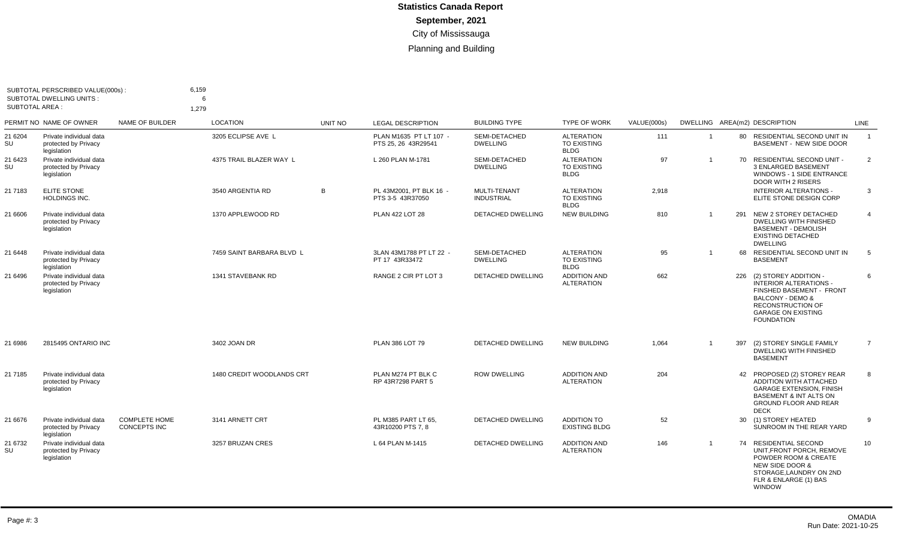| SUBTOTAL PERSCRIBED VALUE(000s):<br><b>SUBTOTAL DWELLING UNITS:</b><br><b>SUBTOTAL AREA:</b> |                                                                | 6,159<br>6                                  |                           |                |                                               |                                          |                                                        |             |                         |     |                                                                                                                                                                                   |                |
|----------------------------------------------------------------------------------------------|----------------------------------------------------------------|---------------------------------------------|---------------------------|----------------|-----------------------------------------------|------------------------------------------|--------------------------------------------------------|-------------|-------------------------|-----|-----------------------------------------------------------------------------------------------------------------------------------------------------------------------------------|----------------|
|                                                                                              |                                                                |                                             | 1,279                     |                |                                               |                                          |                                                        |             |                         |     |                                                                                                                                                                                   |                |
|                                                                                              | PERMIT NO NAME OF OWNER                                        | NAME OF BUILDER                             | <b>LOCATION</b>           | <b>UNIT NO</b> | <b>LEGAL DESCRIPTION</b>                      | <b>BUILDING TYPE</b>                     | <b>TYPE OF WORK</b>                                    | VALUE(000s) |                         |     | DWELLING AREA(m2) DESCRIPTION                                                                                                                                                     | LINE           |
| 21 6204<br>SU                                                                                | Private individual data<br>protected by Privacy<br>legislation |                                             | 3205 ECLIPSE AVE L        |                | PLAN M1635 PT LT 107 -<br>PTS 25, 26 43R29541 | SEMI-DETACHED<br><b>DWELLING</b>         | <b>ALTERATION</b><br><b>TO EXISTING</b><br><b>BLDG</b> | 111         | $\overline{1}$          |     | 80 RESIDENTIAL SECOND UNIT IN<br>BASEMENT - NEW SIDE DOOR                                                                                                                         | $\overline{1}$ |
| 21 6423<br>SU                                                                                | Private individual data<br>protected by Privacy<br>legislation |                                             | 4375 TRAIL BLAZER WAY L   |                | L 260 PLAN M-1781                             | SEMI-DETACHED<br><b>DWELLING</b>         | <b>ALTERATION</b><br><b>TO EXISTING</b><br><b>BLDG</b> | 97          | $\overline{1}$          |     | 70 RESIDENTIAL SECOND UNIT -<br><b>3 ENLARGED BASEMENT</b><br><b>WINDOWS - 1 SIDE ENTRANCE</b><br>DOOR WITH 2 RISERS                                                              | 2              |
| 21 7183                                                                                      | <b>ELITE STONE</b><br><b>HOLDINGS INC.</b>                     |                                             | 3540 ARGENTIA RD          | B              | PL 43M2001. PT BLK 16 -<br>PTS 3-5 43R37050   | <b>MULTI-TENANT</b><br><b>INDUSTRIAL</b> | <b>ALTERATION</b><br><b>TO EXISTING</b><br><b>BLDG</b> | 2,918       |                         |     | <b>INTERIOR ALTERATIONS -</b><br>ELITE STONE DESIGN CORP                                                                                                                          | 3              |
| 21 6606                                                                                      | Private individual data<br>protected by Privacy<br>legislation |                                             | 1370 APPLEWOOD RD         |                | PLAN 422 LOT 28                               | <b>DETACHED DWELLING</b>                 | <b>NEW BUILDING</b>                                    | 810         | $\overline{1}$          | 291 | NEW 2 STOREY DETACHED<br><b>DWELLING WITH FINISHED</b><br><b>BASEMENT - DEMOLISH</b><br><b>EXISTING DETACHED</b><br><b>DWELLING</b>                                               | $\overline{4}$ |
| 21 6448                                                                                      | Private individual data<br>protected by Privacy<br>legislation |                                             | 7459 SAINT BARBARA BLVD L |                | 3LAN 43M1788 PT LT 22 -<br>PT 17 43R33472     | SEMI-DETACHED<br><b>DWELLING</b>         | <b>ALTERATION</b><br><b>TO EXISTING</b><br><b>BLDG</b> | 95          | $\overline{1}$          |     | 68 RESIDENTIAL SECOND UNIT IN<br><b>BASEMENT</b>                                                                                                                                  | 5              |
| 21 6496                                                                                      | Private individual data<br>protected by Privacy<br>legislation |                                             | 1341 STAVEBANK RD         |                | RANGE 2 CIR PT LOT 3                          | <b>DETACHED DWELLING</b>                 | <b>ADDITION AND</b><br><b>ALTERATION</b>               | 662         |                         |     | 226 (2) STOREY ADDITION -<br><b>INTERIOR ALTERATIONS -</b><br>FINSHED BASEMENT - FRONT<br>BALCONY - DEMO &<br>RECONSTRUCTION OF<br><b>GARAGE ON EXISTING</b><br><b>FOUNDATION</b> | 6              |
| 21 6986                                                                                      | 2815495 ONTARIO INC                                            |                                             | 3402 JOAN DR              |                | PLAN 386 LOT 79                               | DETACHED DWELLING                        | <b>NEW BUILDING</b>                                    | 1.064       | $\overline{\mathbf{1}}$ | 397 | (2) STOREY SINGLE FAMILY<br>DWELLING WITH FINISHED<br><b>BASEMENT</b>                                                                                                             | $\overline{7}$ |
| 21 7185                                                                                      | Private individual data<br>protected by Privacy<br>legislation |                                             | 1480 CREDIT WOODLANDS CRT |                | PLAN M274 PT BLK C<br>RP 43R7298 PART 5       | <b>ROW DWELLING</b>                      | <b>ADDITION AND</b><br><b>ALTERATION</b>               | 204         |                         |     | 42 PROPOSED (2) STOREY REAR<br>ADDITION WITH ATTACHED<br><b>GARAGE EXTENSION, FINISH</b><br><b>BASEMENT &amp; INT ALTS ON</b><br><b>GROUND FLOOR AND REAR</b><br><b>DECK</b>      | 8              |
| 21 6676                                                                                      | Private individual data<br>protected by Privacy<br>legislation | <b>COMPLETE HOME</b><br><b>CONCEPTS INC</b> | 3141 ARNETT CRT           |                | PL M385 PART LT 65.<br>43R10200 PTS 7.8       | DETACHED DWELLING                        | ADDITION TO<br><b>EXISTING BLDG</b>                    | 52          |                         |     | 30 (1) STOREY HEATED<br>SUNROOM IN THE REAR YARD                                                                                                                                  | 9              |
| 21 6732<br>SU                                                                                | Private individual data<br>protected by Privacy<br>legislation |                                             | 3257 BRUZAN CRES          |                | L 64 PLAN M-1415                              | <b>DETACHED DWELLING</b>                 | <b>ADDITION AND</b><br><b>ALTERATION</b>               | 146         | $\overline{1}$          |     | 74 RESIDENTIAL SECOND<br>UNIT, FRONT PORCH, REMOVE<br>POWDER ROOM & CREATE<br>NEW SIDE DOOR &<br>STORAGE, LAUNDRY ON 2ND<br>FLR & ENLARGE (1) BAS<br><b>WINDOW</b>                | 10             |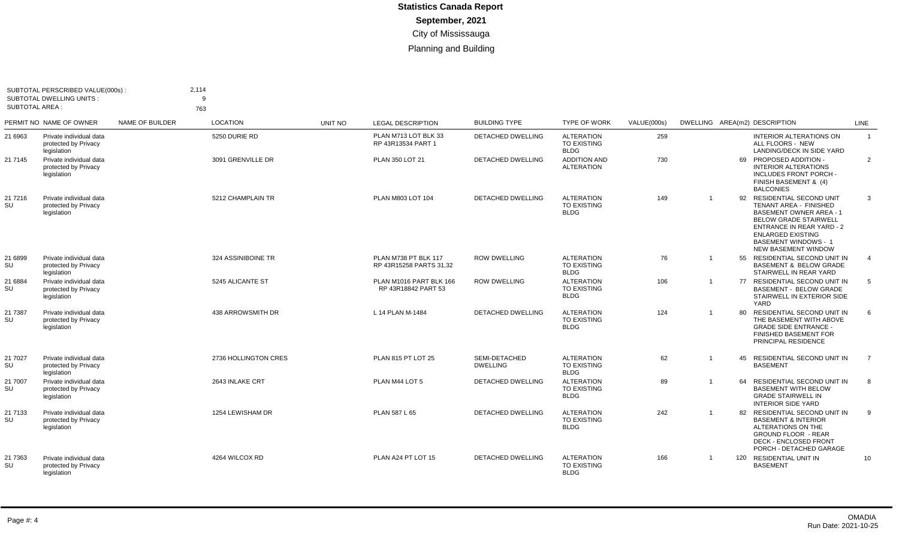| SUBTOTAL PERSCRIBED VALUE(000s)<br><b>SUBTOTAL DWELLING UNITS:</b><br><b>SUBTOTAL AREA:</b> |                                                                | 2,114<br>9<br>763 |                      |         |                                                 |                                  |                                                        |                    |                |    |                                                                                                                                                                                                                                                     |                |
|---------------------------------------------------------------------------------------------|----------------------------------------------------------------|-------------------|----------------------|---------|-------------------------------------------------|----------------------------------|--------------------------------------------------------|--------------------|----------------|----|-----------------------------------------------------------------------------------------------------------------------------------------------------------------------------------------------------------------------------------------------------|----------------|
|                                                                                             | PERMIT NO NAME OF OWNER                                        | NAME OF BUILDER   | <b>LOCATION</b>      | UNIT NO | <b>LEGAL DESCRIPTION</b>                        | <b>BUILDING TYPE</b>             | <b>TYPE OF WORK</b>                                    | <b>VALUE(000s)</b> |                |    | DWELLING AREA(m2) DESCRIPTION                                                                                                                                                                                                                       | LINE           |
| 21 6963                                                                                     | Private individual data<br>protected by Privacy<br>legislation |                   | 5250 DURIE RD        |         | PLAN M713 LOT BLK 33<br>RP 43R13534 PART 1      | <b>DETACHED DWELLING</b>         | <b>ALTERATION</b><br>TO EXISTING<br><b>BLDG</b>        | 259                |                |    | <b>INTERIOR ALTERATIONS ON</b><br>ALL FLOORS - NEW<br>LANDING/DECK IN SIDE YARD                                                                                                                                                                     | $\overline{1}$ |
| 21 7145                                                                                     | Private individual data<br>protected by Privacy<br>legislation |                   | 3091 GRENVILLE DR    |         | PLAN 350 LOT 21                                 | DETACHED DWELLING                | <b>ADDITION AND</b><br><b>ALTERATION</b>               | 730                |                |    | 69 PROPOSED ADDITION -<br><b>INTERIOR ALTERATIONS</b><br>INCLUDES FRONT PORCH -<br>FINISH BASEMENT & (4)<br><b>BALCONIES</b>                                                                                                                        | $\overline{2}$ |
| 21 7216<br>SU                                                                               | Private individual data<br>protected by Privacy<br>legislation |                   | 5212 CHAMPLAIN TR    |         | PLAN M803 LOT 104                               | <b>DETACHED DWELLING</b>         | <b>ALTERATION</b><br>TO EXISTING<br><b>BLDG</b>        | 149                | $\overline{1}$ |    | 92 RESIDENTIAL SECOND UNIT<br><b>TENANT AREA - FINISHED</b><br><b>BASEMENT OWNER AREA - 1</b><br><b>BELOW GRADE STAIRWELL</b><br><b>ENTRANCE IN REAR YARD - 2</b><br><b>ENLARGED EXISTING</b><br>BASEMENT WINDOWS - 1<br><b>NEW BASEMENT WINDOW</b> | 3              |
| 21 6899<br>SU                                                                               | Private individual data<br>protected by Privacy<br>legislation |                   | 324 ASSINIBOINE TR   |         | PLAN M738 PT BLK 117<br>RP 43R15258 PARTS 31.32 | <b>ROW DWELLING</b>              | <b>ALTERATION</b><br><b>TO EXISTING</b><br><b>BLDG</b> | 76                 | $\overline{1}$ | 55 | RESIDENTIAL SECOND UNIT IN<br><b>BASEMENT &amp; BELOW GRADE</b><br>STAIRWELL IN REAR YARD                                                                                                                                                           | $\overline{4}$ |
| 21 6884<br>SU                                                                               | Private individual data<br>protected by Privacy<br>legislation |                   | 5245 ALICANTE ST     |         | PLAN M1016 PART BLK 166<br>RP 43R18842 PART 53  | <b>ROW DWELLING</b>              | <b>ALTERATION</b><br><b>TO EXISTING</b><br><b>BLDG</b> | 106                | -1             |    | 77 RESIDENTIAL SECOND UNIT IN<br><b>BASEMENT - BELOW GRADE</b><br>STAIRWELL IN EXTERIOR SIDE<br>YARD                                                                                                                                                | 5              |
| 21 7387<br>SU                                                                               | Private individual data<br>protected by Privacy<br>legislation |                   | 438 ARROWSMITH DR    |         | L 14 PLAN M-1484                                | <b>DETACHED DWELLING</b>         | <b>ALTERATION</b><br>TO EXISTING<br><b>BLDG</b>        | 124                | -1             | 80 | <b>RESIDENTIAL SECOND UNIT IN</b><br>THE BASEMENT WITH ABOVE<br><b>GRADE SIDE ENTRANCE -</b><br><b>FINISHED BASEMENT FOR</b><br>PRINCIPAL RESIDENCE                                                                                                 | 6              |
| 21 7027<br>SU                                                                               | Private individual data<br>protected by Privacy<br>legislation |                   | 2736 HOLLINGTON CRES |         | PLAN 815 PT LOT 25                              | SEMI-DETACHED<br><b>DWELLING</b> | <b>ALTERATION</b><br><b>TO EXISTING</b><br><b>BLDG</b> | 62                 | $\overline{1}$ | 45 | <b>RESIDENTIAL SECOND UNIT IN</b><br><b>BASEMENT</b>                                                                                                                                                                                                | $\overline{7}$ |
| 21 7007<br>SU                                                                               | Private individual data<br>protected by Privacy<br>legislation |                   | 2643 INLAKE CRT      |         | PLAN M44 LOT 5                                  | <b>DETACHED DWELLING</b>         | <b>ALTERATION</b><br>TO EXISTING<br><b>BLDG</b>        | 89                 | $\overline{1}$ | 64 | <b>RESIDENTIAL SECOND UNIT IN</b><br><b>BASEMENT WITH BELOW</b><br><b>GRADE STAIRWELL IN</b><br><b>INTERIOR SIDE YARD</b>                                                                                                                           | 8              |
| 21 7133<br><b>SU</b>                                                                        | Private individual data<br>protected by Privacy<br>legislation |                   | 1254 LEWISHAM DR     |         | PLAN 587 L 65                                   | <b>DETACHED DWELLING</b>         | <b>ALTERATION</b><br><b>TO EXISTING</b><br><b>BLDG</b> | 242                | -1             |    | 82 RESIDENTIAL SECOND UNIT IN<br><b>BASEMENT &amp; INTERIOR</b><br>ALTERATIONS ON THE<br><b>GROUND FLOOR - REAR</b><br>DECK - ENCLOSED FRONT<br>PORCH - DETACHED GARAGE                                                                             | 9              |
| 21 7363<br>SU                                                                               | Private individual data<br>protected by Privacy<br>legislation |                   | 4264 WILCOX RD       |         | PLAN A24 PT LOT 15                              | <b>DETACHED DWELLING</b>         | <b>ALTERATION</b><br><b>TO EXISTING</b><br><b>BLDG</b> | 166                | $\overline{1}$ |    | 120 RESIDENTIAL UNIT IN<br><b>BASEMENT</b>                                                                                                                                                                                                          | 10             |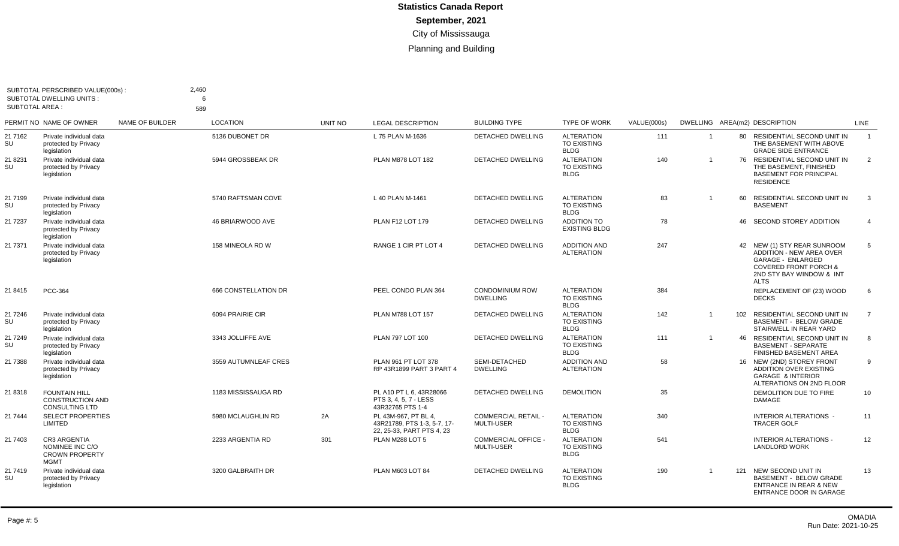| <b>SUBTOTAL AREA:</b> | SUBTOTAL PERSCRIBED VALUE(000s):<br><b>SUBTOTAL DWELLING UNITS:</b>            |                 | 2.460<br>6<br>589    |         |                                                                                  |                                                 |                                                        |             |                |    |                                                                                                                                                                        |                |
|-----------------------|--------------------------------------------------------------------------------|-----------------|----------------------|---------|----------------------------------------------------------------------------------|-------------------------------------------------|--------------------------------------------------------|-------------|----------------|----|------------------------------------------------------------------------------------------------------------------------------------------------------------------------|----------------|
|                       | PERMIT NO NAME OF OWNER                                                        | NAME OF BUILDER | <b>LOCATION</b>      | UNIT NO | <b>LEGAL DESCRIPTION</b>                                                         | <b>BUILDING TYPE</b>                            | <b>TYPE OF WORK</b>                                    | VALUE(000s) |                |    | DWELLING AREA(m2) DESCRIPTION                                                                                                                                          | LINE           |
| 21 7162<br>SU         | Private individual data<br>protected by Privacy<br>legislation                 |                 | 5136 DUBONET DR      |         | L 75 PLAN M-1636                                                                 | <b>DETACHED DWELLING</b>                        | <b>ALTERATION</b><br><b>TO EXISTING</b><br><b>BLDG</b> | 111         | $\mathbf{1}$   |    | 80 RESIDENTIAL SECOND UNIT IN<br>THE BASEMENT WITH ABOVE<br><b>GRADE SIDE ENTRANCE</b>                                                                                 | $\overline{1}$ |
| 21 8231<br>SU         | Private individual data<br>protected by Privacy<br>legislation                 |                 | 5944 GROSSBEAK DR    |         | PLAN M878 LOT 182                                                                | DETACHED DWELLING                               | <b>ALTERATION</b><br>TO EXISTING<br><b>BLDG</b>        | 140         | $\overline{1}$ |    | 76 RESIDENTIAL SECOND UNIT IN<br>THE BASEMENT, FINISHED<br><b>BASEMENT FOR PRINCIPAL</b><br><b>RESIDENCE</b>                                                           | $\overline{2}$ |
| 21 7199<br>SU         | Private individual data<br>protected by Privacy<br>legislation                 |                 | 5740 RAFTSMAN COVE   |         | L 40 PLAN M-1461                                                                 | <b>DETACHED DWELLING</b>                        | <b>ALTERATION</b><br>TO EXISTING<br><b>BLDG</b>        | 83          | $\overline{1}$ | 60 | RESIDENTIAL SECOND UNIT IN<br><b>BASEMENT</b>                                                                                                                          | 3              |
| 21 7237               | Private individual data<br>protected by Privacy<br>legislation                 |                 | 46 BRIARWOOD AVE     |         | <b>PLAN F12 LOT 179</b>                                                          | <b>DETACHED DWELLING</b>                        | <b>ADDITION TO</b><br><b>EXISTING BLDG</b>             | 78          |                | 46 | SECOND STOREY ADDITION                                                                                                                                                 | $\overline{4}$ |
| 21 7371               | Private individual data<br>protected by Privacy<br>legislation                 |                 | 158 MINEOLA RD W     |         | RANGE 1 CIR PT LOT 4                                                             | <b>DETACHED DWELLING</b>                        | <b>ADDITION AND</b><br><b>ALTERATION</b>               | 247         |                | 42 | NEW (1) STY REAR SUNROOM<br><b>ADDITION - NEW AREA OVER</b><br><b>GARAGE - ENLARGED</b><br><b>COVERED FRONT PORCH &amp;</b><br>2ND STY BAY WINDOW & INT<br><b>ALTS</b> | 5              |
| 21 8415               | <b>PCC-364</b>                                                                 |                 | 666 CONSTELLATION DR |         | PEEL CONDO PLAN 364                                                              | <b>CONDOMINIUM ROW</b><br><b>DWELLING</b>       | <b>ALTERATION</b><br><b>TO EXISTING</b><br><b>BLDG</b> | 384         |                |    | REPLACEMENT OF (23) WOOD<br><b>DECKS</b>                                                                                                                               | 6              |
| 21 7246<br>SU         | Private individual data<br>protected by Privacv<br>legislation                 |                 | 6094 PRAIRIE CIR     |         | <b>PLAN M788 LOT 157</b>                                                         | DETACHED DWELLING                               | <b>ALTERATION</b><br>TO EXISTING<br><b>BLDG</b>        | 142         | $\mathbf{1}$   |    | 102 RESIDENTIAL SECOND UNIT IN<br><b>BASEMENT - BELOW GRADE</b><br>STAIRWELL IN REAR YARD                                                                              | $\overline{7}$ |
| 21 7249<br>SU         | Private individual data<br>protected by Privacy<br>legislation                 |                 | 3343 JOLLIFFE AVE    |         | PLAN 797 LOT 100                                                                 | <b>DETACHED DWELLING</b>                        | <b>ALTERATION</b><br>TO EXISTING<br><b>BLDG</b>        | 111         | $\overline{1}$ |    | 46 RESIDENTIAL SECOND UNIT IN<br><b>BASEMENT - SEPARATE</b><br>FINISHED BASEMENT AREA                                                                                  | 8              |
| 21 7388               | Private individual data<br>protected by Privacy<br>legislation                 |                 | 3559 AUTUMNLEAF CRES |         | PLAN 961 PT LOT 378<br>RP 43R1899 PART 3 PART 4                                  | SEMI-DETACHED<br><b>DWELLING</b>                | <b>ADDITION AND</b><br><b>ALTERATION</b>               | 58          |                |    | 16 NEW (2ND) STOREY FRONT<br>ADDITION OVER EXISTING<br><b>GARAGE &amp; INTERIOR</b><br>ALTERATIONS ON 2ND FLOOR                                                        | 9              |
| 21 8318               | <b>FOUNTAIN HILL</b><br><b>CONSTRUCTION AND</b><br><b>CONSULTING LTD</b>       |                 | 1183 MISSISSAUGA RD  |         | PL A10 PT L 6, 43R28066<br>PTS 3, 4, 5, 7 - LESS<br>43R32765 PTS 1-4             | <b>DETACHED DWELLING</b>                        | <b>DEMOLITION</b>                                      | 35          |                |    | DEMOLITION DUE TO FIRE<br><b>DAMAGE</b>                                                                                                                                | 10             |
| 21 7444               | <b>SELECT PROPERTIES</b><br><b>LIMITED</b>                                     |                 | 5980 MCLAUGHLIN RD   | 2A      | PL 43M-967, PT BL 4,<br>43R21789, PTS 1-3, 5-7, 17-<br>22, 25-33, PART PTS 4, 23 | <b>COMMERCIAL RETAIL -</b><br><b>MULTI-USER</b> | <b>ALTERATION</b><br>TO EXISTING<br><b>BLDG</b>        | 340         |                |    | <b>INTERIOR ALTERATIONS -</b><br><b>TRACER GOLF</b>                                                                                                                    | 11             |
| 21 7403               | <b>CR3 ARGENTIA</b><br>NOMINEE INC C/O<br><b>CROWN PROPERTY</b><br><b>MGMT</b> |                 | 2233 ARGENTIA RD     | 301     | PLAN M288 LOT 5                                                                  | <b>COMMERCIAL OFFICE -</b><br>MULTI-USER        | <b>ALTERATION</b><br><b>TO EXISTING</b><br><b>BLDG</b> | 541         |                |    | <b>INTERIOR ALTERATIONS -</b><br><b>LANDLORD WORK</b>                                                                                                                  | 12             |
| 21 7419<br>SU         | Private individual data<br>protected by Privacy<br>legislation                 |                 | 3200 GALBRAITH DR    |         | PLAN M603 LOT 84                                                                 | <b>DETACHED DWELLING</b>                        | <b>ALTERATION</b><br><b>TO EXISTING</b><br><b>BLDG</b> | 190         | $\overline{1}$ |    | 121 NEW SECOND UNIT IN<br><b>BASEMENT - BELOW GRADE</b><br>ENTRANCE IN REAR & NEW<br>ENTRANCE DOOR IN GARAGE                                                           | 13             |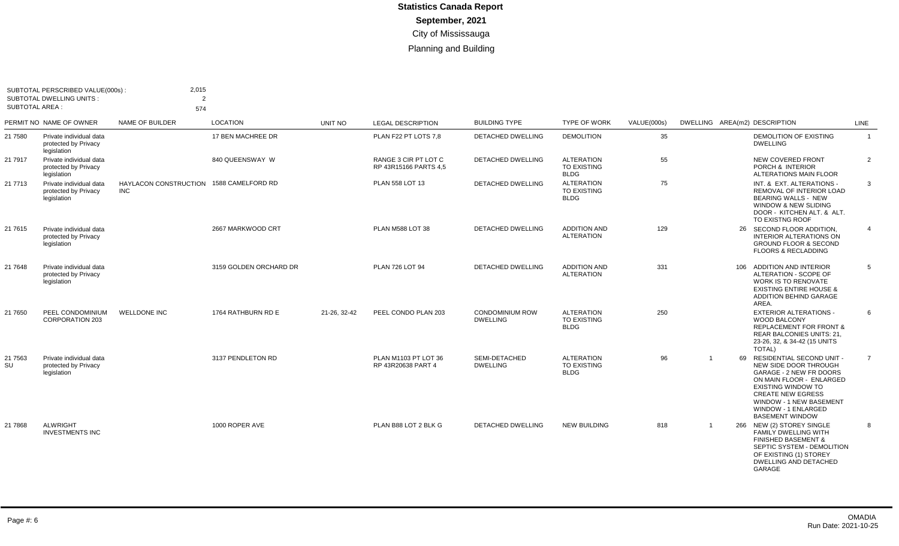| <b>SUBTOTAL AREA:</b> | SUBTOTAL PERSCRIBED VALUE(000s) :<br><b>SUBTOTAL DWELLING UNITS:</b> | 2,015<br>$\overline{2}$<br>574                        |                        |                |                                               |                                           |                                                        |             |                |    |                                                                                                                                                                                                                                                       |                |
|-----------------------|----------------------------------------------------------------------|-------------------------------------------------------|------------------------|----------------|-----------------------------------------------|-------------------------------------------|--------------------------------------------------------|-------------|----------------|----|-------------------------------------------------------------------------------------------------------------------------------------------------------------------------------------------------------------------------------------------------------|----------------|
|                       | PERMIT NO NAME OF OWNER                                              | NAME OF BUILDER                                       | <b>LOCATION</b>        | <b>UNIT NO</b> | <b>LEGAL DESCRIPTION</b>                      | <b>BUILDING TYPE</b>                      | <b>TYPE OF WORK</b>                                    | VALUE(000s) |                |    | DWELLING AREA(m2) DESCRIPTION                                                                                                                                                                                                                         | LINE           |
| 21 7580               | Private individual data<br>protected by Privacy<br>legislation       |                                                       | 17 BEN MACHREE DR      |                | PLAN F22 PT LOTS 7,8                          | <b>DETACHED DWELLING</b>                  | <b>DEMOLITION</b>                                      | 35          |                |    | <b>DEMOLITION OF EXISTING</b><br><b>DWELLING</b>                                                                                                                                                                                                      | $\overline{1}$ |
| 21 7917               | Private individual data<br>protected by Privacy<br>legislation       |                                                       | 840 QUEENSWAY W        |                | RANGE 3 CIR PT LOT C<br>RP 43R15166 PARTS 4.5 | <b>DETACHED DWELLING</b>                  | <b>ALTERATION</b><br>TO EXISTING<br><b>BLDG</b>        | 55          |                |    | <b>NEW COVERED FRONT</b><br>PORCH & INTERIOR<br>ALTERATIONS MAIN FLOOR                                                                                                                                                                                | $\overline{2}$ |
| 21 7713               | Private individual data<br>protected by Privacy<br>legislation       | HAYLACON CONSTRUCTION 1588 CAMELFORD RD<br><b>INC</b> |                        |                | PLAN 558 LOT 13                               | DETACHED DWELLING                         | <b>ALTERATION</b><br><b>TO EXISTING</b><br><b>BLDG</b> | 75          |                |    | INT. & EXT. ALTERATIONS -<br>REMOVAL OF INTERIOR LOAD<br><b>BEARING WALLS - NEW</b><br>WINDOW & NEW SLIDING<br>DOOR - KITCHEN ALT, & ALT.<br>TO EXISTNG ROOF                                                                                          | $\mathbf{3}$   |
| 21 7615               | Private individual data<br>protected by Privacy<br>legislation       |                                                       | 2667 MARKWOOD CRT      |                | PLAN M588 LOT 38                              | <b>DETACHED DWELLING</b>                  | <b>ADDITION AND</b><br><b>ALTERATION</b>               | 129         |                |    | 26 SECOND FLOOR ADDITION,<br><b>INTERIOR ALTERATIONS ON</b><br><b>GROUND FLOOR &amp; SECOND</b><br><b>FLOORS &amp; RECLADDING</b>                                                                                                                     | $\overline{4}$ |
| 21 7648               | Private individual data<br>protected by Privacy<br>legislation       |                                                       | 3159 GOLDEN ORCHARD DR |                | PLAN 726 LOT 94                               | <b>DETACHED DWELLING</b>                  | <b>ADDITION AND</b><br><b>ALTERATION</b>               | 331         |                |    | 106 ADDITION AND INTERIOR<br>ALTERATION - SCOPE OF<br><b>WORK IS TO RENOVATE</b><br><b>EXISTING ENTIRE HOUSE &amp;</b><br><b>ADDITION BEHIND GARAGE</b><br>AREA.                                                                                      | 5              |
| 21 7650               | PEEL CONDOMINIUM<br><b>CORPORATION 203</b>                           | <b>WELLDONE INC</b>                                   | 1764 RATHBURN RD E     | 21-26. 32-42   | PEEL CONDO PLAN 203                           | <b>CONDOMINIUM ROW</b><br><b>DWELLING</b> | <b>ALTERATION</b><br>TO EXISTING<br><b>BLDG</b>        | 250         |                |    | <b>EXTERIOR ALTERATIONS -</b><br>WOOD BALCONY<br><b>REPLACEMENT FOR FRONT &amp;</b><br><b>REAR BALCONIES UNITS: 21,</b><br>23-26, 32, & 34-42 (15 UNITS<br><b>TOTAL)</b>                                                                              | 6              |
| 21 75 63<br>SU        | Private individual data<br>protected by Privacy<br>legislation       |                                                       | 3137 PENDLETON RD      |                | PLAN M1103 PT LOT 36<br>RP 43R20638 PART 4    | SEMI-DETACHED<br><b>DWELLING</b>          | <b>ALTERATION</b><br><b>TO EXISTING</b><br><b>BLDG</b> | 96          | $\overline{1}$ | 69 | <b>RESIDENTIAL SECOND UNIT -</b><br>NEW SIDE DOOR THROUGH<br>GARAGE - 2 NEW FR DOORS<br>ON MAIN FLOOR - ENLARGED<br><b>EXISTING WINDOW TO</b><br><b>CREATE NEW EGRESS</b><br>WINDOW - 1 NEW BASEMENT<br>WINDOW - 1 ENLARGED<br><b>BASEMENT WINDOW</b> | $\overline{7}$ |
| 21 7868               | <b>ALWRIGHT</b><br><b>INVESTMENTS INC</b>                            |                                                       | 1000 ROPER AVE         |                | PLAN B88 LOT 2 BLK G                          | <b>DETACHED DWELLING</b>                  | <b>NEW BUILDING</b>                                    | 818         | $\overline{1}$ |    | 266 NEW (2) STOREY SINGLE<br><b>FAMILY DWELLING WITH</b><br><b>FINISHED BASEMENT &amp;</b><br>SEPTIC SYSTEM - DEMOLITION<br>OF EXISTING (1) STOREY<br><b>DWELLING AND DETACHED</b><br>GARAGE                                                          | 8              |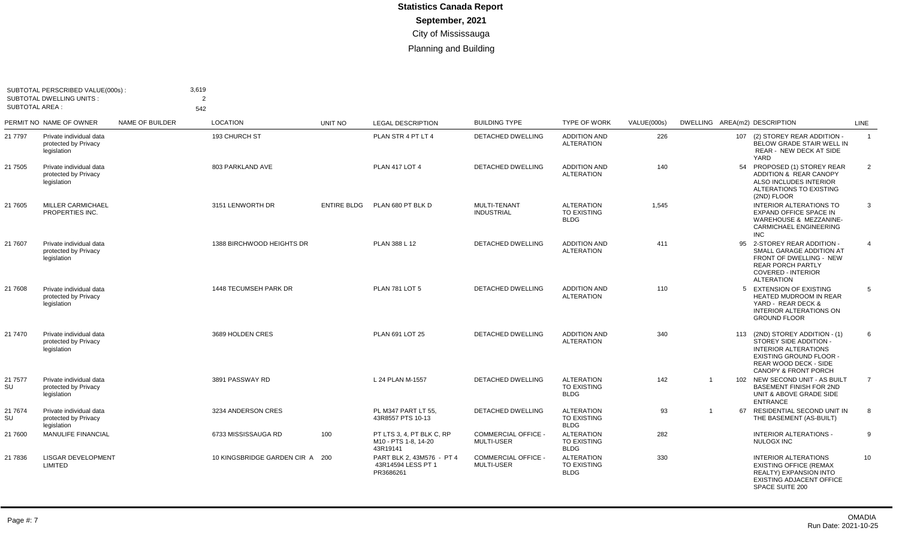| <b>SUBTOTAL AREA:</b> | SUBTOTAL PERSCRIBED VALUE(000s)<br><b>SUBTOTAL DWELLING UNITS:</b> |                        | 3,619<br>$\overline{2}$<br>542  |                    |                                                               |                                                 |                                                        |             |                               |                                                                                                                                                                                        |                |
|-----------------------|--------------------------------------------------------------------|------------------------|---------------------------------|--------------------|---------------------------------------------------------------|-------------------------------------------------|--------------------------------------------------------|-------------|-------------------------------|----------------------------------------------------------------------------------------------------------------------------------------------------------------------------------------|----------------|
|                       | PERMIT NO NAME OF OWNER                                            | <b>NAME OF BUILDER</b> | <b>LOCATION</b>                 | UNIT NO            | <b>LEGAL DESCRIPTION</b>                                      | <b>BUILDING TYPE</b>                            | <b>TYPE OF WORK</b>                                    | VALUE(000s) | DWELLING AREA(m2) DESCRIPTION |                                                                                                                                                                                        | LINE           |
| 21 7797               | Private individual data<br>protected by Privacy<br>legislation     |                        | 193 CHURCH ST                   |                    | PLAN STR 4 PT LT 4                                            | DETACHED DWELLING                               | <b>ADDITION AND</b><br><b>ALTERATION</b>               | 226         |                               | 107 (2) STOREY REAR ADDITION -<br>BELOW GRADE STAIR WELL IN<br><b>REAR - NEW DECK AT SIDE</b><br>YARD                                                                                  | $\overline{1}$ |
| 21 7505               | Private individual data<br>protected by Privacy<br>legislation     |                        | 803 PARKLAND AVE                |                    | <b>PLAN 417 LOT 4</b>                                         | DETACHED DWELLING                               | <b>ADDITION AND</b><br><b>ALTERATION</b>               | 140         |                               | 54 PROPOSED (1) STOREY REAR<br>ADDITION & REAR CANOPY<br>ALSO INCLUDES INTERIOR<br>ALTERATIONS TO EXISTING<br>(2ND) FLOOR                                                              | 2              |
| 21 7605               | <b>MILLER CARMICHAEL</b><br>PROPERTIES INC.                        |                        | 3151 LENWORTH DR                | <b>ENTIRE BLDG</b> | PLAN 680 PT BLK D                                             | MULTI-TENANT<br><b>INDUSTRIAL</b>               | <b>ALTERATION</b><br>TO EXISTING<br><b>BLDG</b>        | 1.545       |                               | <b>INTERIOR ALTERATIONS TO</b><br>EXPAND OFFICE SPACE IN<br>WAREHOUSE & MEZZANINE-<br><b>CARMICHAEL ENGINEERING</b><br><b>INC</b>                                                      | 3              |
| 21 7607               | Private individual data<br>protected by Privacy<br>legislation     |                        | 1388 BIRCHWOOD HEIGHTS DR       |                    | PLAN 388 L 12                                                 | DETACHED DWELLING                               | <b>ADDITION AND</b><br><b>ALTERATION</b>               | 411         |                               | 95 2-STOREY REAR ADDITION -<br>SMALL GARAGE ADDITION AT<br><b>FRONT OF DWELLING - NEW</b><br><b>REAR PORCH PARTLY</b><br><b>COVERED - INTERIOR</b><br><b>ALTERATION</b>                | $\overline{4}$ |
| 21 7608               | Private individual data<br>protected by Privacy<br>legislation     |                        | 1448 TECUMSEH PARK DR           |                    | <b>PLAN 781 LOT 5</b>                                         | <b>DETACHED DWELLING</b>                        | <b>ADDITION AND</b><br><b>ALTERATION</b>               | 110         |                               | 5 EXTENSION OF EXISTING<br><b>HEATED MUDROOM IN REAR</b><br>YARD - REAR DECK &<br><b>INTERIOR ALTERATIONS ON</b><br><b>GROUND FLOOR</b>                                                | 5              |
| 21 7470               | Private individual data<br>protected by Privacy<br>legislation     |                        | 3689 HOLDEN CRES                |                    | PLAN 691 LOT 25                                               | <b>DETACHED DWELLING</b>                        | <b>ADDITION AND</b><br><b>ALTERATION</b>               | 340         |                               | 113 (2ND) STOREY ADDITION - (1)<br>STOREY SIDE ADDITION -<br><b>INTERIOR ALTERATIONS</b><br><b>EXISTING GROUND FLOOR -</b><br>REAR WOOD DECK - SIDE<br><b>CANOPY &amp; FRONT PORCH</b> | 6              |
| 21 7577<br>SU         | Private individual data<br>protected by Privacy<br>legislation     |                        | 3891 PASSWAY RD                 |                    | L 24 PLAN M-1557                                              | DETACHED DWELLING                               | <b>ALTERATION</b><br><b>TO EXISTING</b><br><b>BLDG</b> | 142         | $\overline{1}$                | 102 NEW SECOND UNIT - AS BUILT<br><b>BASEMENT FINISH FOR 2ND</b><br>UNIT & ABOVE GRADE SIDE<br><b>ENTRANCE</b>                                                                         | $\overline{7}$ |
| 21 7674<br>SU         | Private individual data<br>protected by Privacy<br>legislation     |                        | 3234 ANDERSON CRES              |                    | PL M347 PART LT 55,<br>43R8557 PTS 10-13                      | DETACHED DWELLING                               | <b>ALTERATION</b><br><b>TO EXISTING</b><br><b>BLDG</b> | 93          | $\mathbf{1}$                  | 67 RESIDENTIAL SECOND UNIT IN<br>THE BASEMENT (AS-BUILT)                                                                                                                               | 8              |
| 21 7600               | <b>MANULIFE FINANCIAL</b>                                          |                        | 6733 MISSISSAUGA RD             | 100                | PT LTS 3, 4, PT BLK C, RP<br>M10 - PTS 1-8, 14-20<br>43R19141 | <b>COMMERCIAL OFFICE</b><br><b>MULTI-USER</b>   | <b>ALTERATION</b><br><b>TO EXISTING</b><br><b>BLDG</b> | 282         |                               | <b>INTERIOR ALTERATIONS -</b><br><b>NULOGX INC</b>                                                                                                                                     | 9              |
| 21 7836               | <b>LISGAR DEVELOPMENT</b><br>LIMITED                               |                        | 10 KINGSBRIDGE GARDEN CIR A 200 |                    | PART BLK 2, 43M576 - PT 4<br>43R14594 LESS PT 1<br>PR3686261  | <b>COMMERCIAL OFFICE -</b><br><b>MULTI-USER</b> | <b>ALTERATION</b><br><b>TO EXISTING</b><br><b>BLDG</b> | 330         |                               | <b>INTERIOR ALTERATIONS</b><br><b>EXISTING OFFICE (REMAX</b><br><b>REALTY) EXPANSION INTO</b><br><b>EXISTING ADJACENT OFFICE</b><br>SPACE SUITE 200                                    | 10             |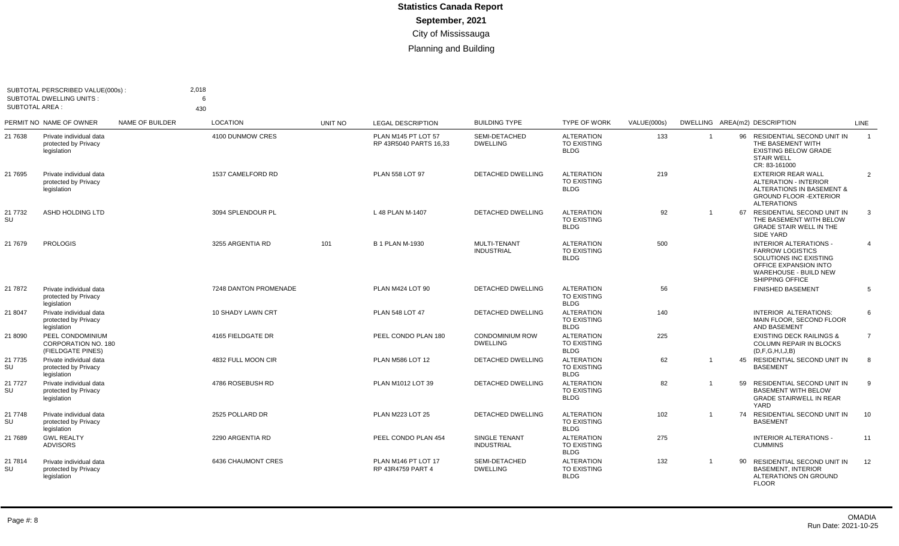| <b>SUBTOTAL AREA:</b> | SUBTOTAL PERSCRIBED VALUE(000s):<br>SUBTOTAL DWELLING UNITS         |                 | 2,018<br>6<br>430        |         |                                               |                                           |                                                        |             |                         |    |                                                                                                                                                                |                |
|-----------------------|---------------------------------------------------------------------|-----------------|--------------------------|---------|-----------------------------------------------|-------------------------------------------|--------------------------------------------------------|-------------|-------------------------|----|----------------------------------------------------------------------------------------------------------------------------------------------------------------|----------------|
|                       | PERMIT NO NAME OF OWNER                                             | NAME OF BUILDER | <b>LOCATION</b>          | UNIT NO | <b>LEGAL DESCRIPTION</b>                      | <b>BUILDING TYPE</b>                      | <b>TYPE OF WORK</b>                                    | VALUE(000s) |                         |    | DWELLING AREA(m2) DESCRIPTION                                                                                                                                  | LINE           |
| 21 7638               | Private individual data<br>protected by Privacy<br>legislation      |                 | 4100 DUNMOW CRES         |         | PLAN M145 PT LOT 57<br>RP 43R5040 PARTS 16.33 | SEMI-DETACHED<br><b>DWELLING</b>          | <b>ALTERATION</b><br><b>TO EXISTING</b><br><b>BLDG</b> | 133         | $\overline{\mathbf{1}}$ | 96 | RESIDENTIAL SECOND UNIT IN<br>THE BASEMENT WITH<br><b>EXISTING BELOW GRADE</b><br><b>STAIR WELL</b><br>CR: 83-161000                                           | $\overline{1}$ |
| 21 7695               | Private individual data<br>protected by Privacy<br>legislation      |                 | 1537 CAMELFORD RD        |         | PLAN 558 LOT 97                               | <b>DETACHED DWELLING</b>                  | <b>ALTERATION</b><br><b>TO EXISTING</b><br><b>BLDG</b> | 219         |                         |    | <b>EXTERIOR REAR WALL</b><br><b>ALTERATION - INTERIOR</b><br>ALTERATIONS IN BASEMENT &<br><b>GROUND FLOOR -EXTERIOR</b><br><b>ALTERATIONS</b>                  | 2              |
| 21 7732<br>SU         | ASHD HOLDING LTD                                                    |                 | 3094 SPLENDOUR PL        |         | L 48 PLAN M-1407                              | <b>DETACHED DWELLING</b>                  | <b>ALTERATION</b><br><b>TO EXISTING</b><br><b>BLDG</b> | 92          | $\overline{1}$          | 67 | <b>RESIDENTIAL SECOND UNIT IN</b><br>THE BASEMENT WITH BELOW<br><b>GRADE STAIR WELL IN THE</b><br>SIDE YARD                                                    | $\mathbf{3}$   |
| 21 7679               | <b>PROLOGIS</b>                                                     |                 | 3255 ARGENTIA RD         | 101     | <b>B 1 PLAN M-1930</b>                        | MULTI-TENANT<br><b>INDUSTRIAL</b>         | <b>ALTERATION</b><br><b>TO EXISTING</b><br><b>BLDG</b> | 500         |                         |    | <b>INTERIOR ALTERATIONS -</b><br><b>FARROW LOGISTICS</b><br>SOLUTIONS INC EXISTING<br>OFFICE EXPANSION INTO<br>WAREHOUSE - BUILD NEW<br><b>SHIPPING OFFICE</b> | $\overline{4}$ |
| 21 7872               | Private individual data<br>protected by Privacy<br>legislation      |                 | 7248 DANTON PROMENADE    |         | PLAN M424 LOT 90                              | DETACHED DWELLING                         | <b>ALTERATION</b><br><b>TO EXISTING</b><br><b>BLDG</b> | 56          |                         |    | <b>FINISHED BASEMENT</b>                                                                                                                                       | 5              |
| 21 8047               | Private individual data<br>protected by Privacy<br>legislation      |                 | <b>10 SHADY LAWN CRT</b> |         | <b>PLAN 548 LOT 47</b>                        | <b>DETACHED DWELLING</b>                  | <b>ALTERATION</b><br><b>TO EXISTING</b><br><b>BLDG</b> | 140         |                         |    | <b>INTERIOR ALTERATIONS:</b><br>MAIN FLOOR, SECOND FLOOR<br>AND BASEMENT                                                                                       | 6              |
| 21 8090               | PEEL CONDOMINIUM<br><b>CORPORATION NO. 180</b><br>(FIELDGATE PINES) |                 | 4165 FIELDGATE DR        |         | PEEL CONDO PLAN 180                           | <b>CONDOMINIUM ROW</b><br><b>DWELLING</b> | <b>ALTERATION</b><br><b>TO EXISTING</b><br><b>BLDG</b> | 225         |                         |    | <b>EXISTING DECK RAILINGS &amp;</b><br><b>COLUMN REPAIR IN BLOCKS</b><br>(D, F, G, H, I, J, B)                                                                 | 7              |
| 21 7735<br>SU         | Private individual data<br>protected by Privacy<br>legislation      |                 | 4832 FULL MOON CIR       |         | <b>PLAN M586 LOT 12</b>                       | DETACHED DWELLING                         | <b>ALTERATION</b><br><b>TO EXISTING</b><br><b>BLDG</b> | 62          | $\overline{1}$          |    | 45 RESIDENTIAL SECOND UNIT IN<br><b>BASEMENT</b>                                                                                                               | 8              |
| 21 7727<br>SU         | Private individual data<br>protected by Privacy<br>legislation      |                 | 4786 ROSEBUSH RD         |         | PLAN M1012 LOT 39                             | <b>DETACHED DWELLING</b>                  | <b>ALTERATION</b><br>TO EXISTING<br><b>BLDG</b>        | 82          |                         | 59 | RESIDENTIAL SECOND UNIT IN<br><b>BASEMENT WITH BELOW</b><br><b>GRADE STAIRWELL IN REAR</b><br>YARD                                                             | 9              |
| 21 7748<br>SU         | Private individual data<br>protected by Privacy<br>legislation      |                 | 2525 POLLARD DR          |         | <b>PLAN M223 LOT 25</b>                       | <b>DETACHED DWELLING</b>                  | <b>ALTERATION</b><br><b>TO EXISTING</b><br><b>BLDG</b> | 102         | $\overline{1}$          | 74 | <b>RESIDENTIAL SECOND UNIT IN</b><br><b>BASEMENT</b>                                                                                                           | 10             |
| 21 7689               | <b>GWL REALTY</b><br><b>ADVISORS</b>                                |                 | 2290 ARGENTIA RD         |         | PEEL CONDO PLAN 454                           | SINGLE TENANT<br><b>INDUSTRIAL</b>        | <b>ALTERATION</b><br><b>TO EXISTING</b><br><b>BLDG</b> | 275         |                         |    | <b>INTERIOR ALTERATIONS -</b><br><b>CUMMINS</b>                                                                                                                | 11             |
| 21 7814<br>SU         | Private individual data<br>protected by Privacy<br>legislation      |                 | 6436 CHAUMONT CRES       |         | PLAN M146 PT LOT 17<br>RP 43R4759 PART 4      | SEMI-DETACHED<br><b>DWELLING</b>          | <b>ALTERATION</b><br>TO EXISTING<br><b>BLDG</b>        | 132         | -1                      | 90 | RESIDENTIAL SECOND UNIT IN<br><b>BASEMENT, INTERIOR</b><br>ALTERATIONS ON GROUND<br><b>FLOOR</b>                                                               | - 12           |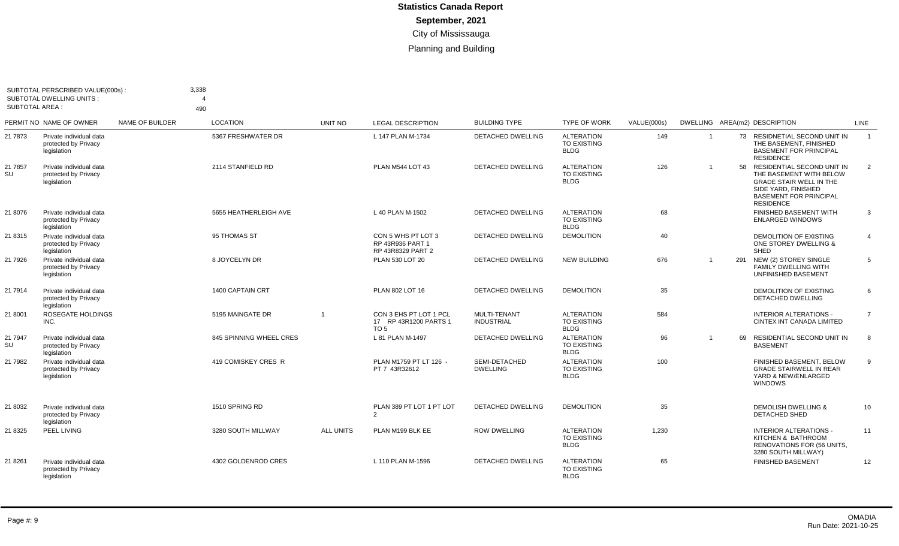| <b>SUBTOTAL AREA:</b> | SUBTOTAL PERSCRIBED VALUE(000s):<br><b>SUBTOTAL DWELLING UNITS:</b> |                 | 3,338<br>$\Delta$<br>490 |                  |                                                             |                                          |                                                        |             |                |    |                                                                                                                                                                     |                |
|-----------------------|---------------------------------------------------------------------|-----------------|--------------------------|------------------|-------------------------------------------------------------|------------------------------------------|--------------------------------------------------------|-------------|----------------|----|---------------------------------------------------------------------------------------------------------------------------------------------------------------------|----------------|
|                       | PERMIT NO NAME OF OWNER                                             | NAME OF BUILDER | <b>LOCATION</b>          | UNIT NO          | <b>LEGAL DESCRIPTION</b>                                    | <b>BUILDING TYPE</b>                     | <b>TYPE OF WORK</b>                                    | VALUE(000s) |                |    | DWELLING AREA(m2) DESCRIPTION                                                                                                                                       | LINE           |
| 21 7873               | Private individual data<br>protected by Privacy<br>legislation      |                 | 5367 FRESHWATER DR       |                  | L 147 PLAN M-1734                                           | <b>DETACHED DWELLING</b>                 | <b>ALTERATION</b><br><b>TO EXISTING</b><br><b>BLDG</b> | 149         | $\overline{1}$ |    | 73 RESIDNETIAL SECOND UNIT IN<br>THE BASEMENT, FINISHED<br><b>BASEMENT FOR PRINCIPAL</b><br><b>RESIDENCE</b>                                                        | $\overline{1}$ |
| 21 7857<br>SU         | Private individual data<br>protected by Privacy<br>legislation      |                 | 2114 STANFIELD RD        |                  | PLAN M544 LOT 43                                            | <b>DETACHED DWELLING</b>                 | <b>ALTERATION</b><br><b>TO EXISTING</b><br><b>BLDG</b> | 126         | $\mathbf{1}$   | 58 | RESIDENTIAL SECOND UNIT IN<br>THE BASEMENT WITH BELOW<br><b>GRADE STAIR WELL IN THE</b><br>SIDE YARD, FINISHED<br><b>BASEMENT FOR PRINCIPAL</b><br><b>RESIDENCE</b> | 2              |
| 21 8076               | Private individual data<br>protected by Privacy<br>legislation      |                 | 5655 HEATHERLEIGH AVE    |                  | L 40 PLAN M-1502                                            | DETACHED DWELLING                        | <b>ALTERATION</b><br><b>TO EXISTING</b><br><b>BLDG</b> | 68          |                |    | FINISHED BASEMENT WITH<br><b>ENLARGED WINDOWS</b>                                                                                                                   | 3              |
| 21 8315               | Private individual data<br>protected by Privacy<br>legislation      |                 | 95 THOMAS ST             |                  | CON 5 WHS PT LOT 3<br>RP 43R936 PART 1<br>RP 43R8329 PART 2 | <b>DETACHED DWELLING</b>                 | <b>DEMOLITION</b>                                      | 40          |                |    | DEMOLITION OF EXISTING<br>ONE STOREY DWELLING &<br>SHED                                                                                                             | $\overline{4}$ |
| 21 7926               | Private individual data<br>protected by Privacy<br>legislation      |                 | 8 JOYCELYN DR            |                  | PLAN 530 LOT 20                                             | <b>DETACHED DWELLING</b>                 | <b>NEW BUILDING</b>                                    | 676         | $\overline{1}$ |    | 291 NEW (2) STOREY SINGLE<br><b>FAMILY DWELLING WITH</b><br><b>UNFINISHED BASEMENT</b>                                                                              | .5             |
| 21 7914               | Private individual data<br>protected by Privacy<br>legislation      |                 | <b>1400 CAPTAIN CRT</b>  |                  | PLAN 802 LOT 16                                             | <b>DETACHED DWELLING</b>                 | <b>DEMOLITION</b>                                      | 35          |                |    | <b>DEMOLITION OF EXISTING</b><br><b>DETACHED DWELLING</b>                                                                                                           | 6              |
| 21 8001               | <b>ROSEGATE HOLDINGS</b><br>INC.                                    |                 | 5195 MAINGATE DR         |                  | CON 3 EHS PT LOT 1 PCL<br>17 RP 43R1200 PARTS 1<br>TO 5     | <b>MULTI-TENANT</b><br><b>INDUSTRIAL</b> | <b>ALTERATION</b><br><b>TO EXISTING</b><br><b>BLDG</b> | 584         |                |    | <b>INTERIOR ALTERATIONS -</b><br>CINTEX INT CANADA LIMITED                                                                                                          | $\overline{7}$ |
| 21 7947<br>SU         | Private individual data<br>protected by Privacy<br>legislation      |                 | 845 SPINNING WHEEL CRES  |                  | L 81 PLAN M-1497                                            | DETACHED DWELLING                        | <b>ALTERATION</b><br>TO EXISTING<br><b>BLDG</b>        | 96          | $\overline{1}$ | 69 | <b>RESIDENTIAL SECOND UNIT IN</b><br><b>BASEMENT</b>                                                                                                                | 8              |
| 21 7982               | Private individual data<br>protected by Privacy<br>legislation      |                 | 419 COMISKEY CRES R      |                  | PLAN M1759 PT LT 126 -<br>PT 7 43R32612                     | SEMI-DETACHED<br><b>DWELLING</b>         | <b>ALTERATION</b><br><b>TO EXISTING</b><br><b>BLDG</b> | 100         |                |    | FINISHED BASEMENT, BELOW<br><b>GRADE STAIRWELL IN REAR</b><br>YARD & NEW/ENLARGED<br><b>WINDOWS</b>                                                                 | 9              |
| 21 8032               | Private individual data<br>protected by Privacy<br>legislation      |                 | 1510 SPRING RD           |                  | PLAN 389 PT LOT 1 PT LOT<br>$\overline{2}$                  | <b>DETACHED DWELLING</b>                 | <b>DEMOLITION</b>                                      | 35          |                |    | <b>DEMOLISH DWELLING &amp;</b><br>DETACHED SHED                                                                                                                     | 10             |
| 21 8325               | PEEL LIVING                                                         |                 | 3280 SOUTH MILLWAY       | <b>ALL UNITS</b> | PLAN M199 BLK EE                                            | <b>ROW DWELLING</b>                      | <b>ALTERATION</b><br><b>TO EXISTING</b><br><b>BLDG</b> | 1,230       |                |    | INTERIOR ALTERATIONS -<br>KITCHEN & BATHROOM<br><b>RENOVATIONS FOR (56 UNITS.</b><br>3280 SOUTH MILLWAY)                                                            | 11             |
| 21 8261               | Private individual data<br>protected by Privacy<br>legislation      |                 | 4302 GOLDENROD CRES      |                  | L 110 PLAN M-1596                                           | <b>DETACHED DWELLING</b>                 | <b>ALTERATION</b><br><b>TO EXISTING</b><br><b>BLDG</b> | 65          |                |    | <b>FINISHED BASEMENT</b>                                                                                                                                            | 12             |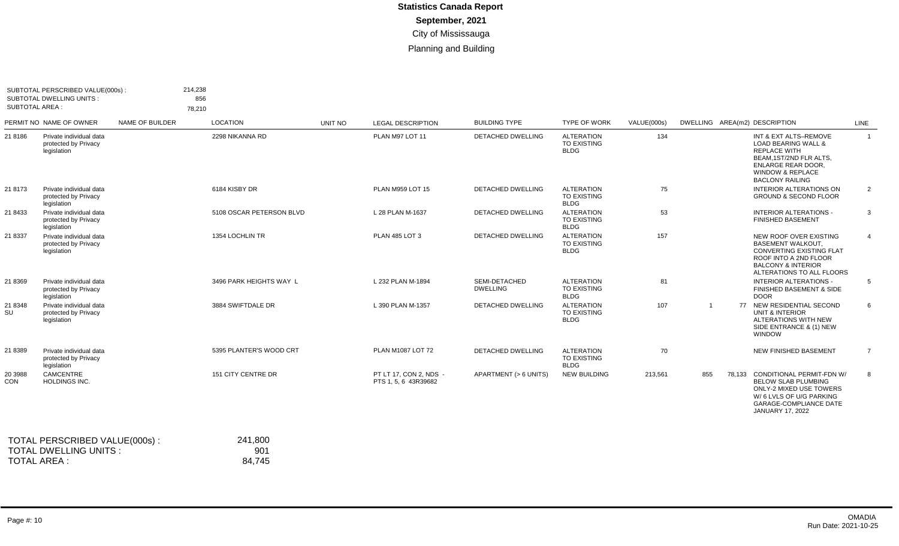| <b>SUBTOTAL AREA:</b> | SUBTOTAL PERSCRIBED VALUE(000s):<br><b>SUBTOTAL DWELLING UNITS:</b> |                 | 214,238<br>856<br>78,210 |                          |                |                                                |                                  |                                                        |             |                |                                                                                                                                                                                                 |                |
|-----------------------|---------------------------------------------------------------------|-----------------|--------------------------|--------------------------|----------------|------------------------------------------------|----------------------------------|--------------------------------------------------------|-------------|----------------|-------------------------------------------------------------------------------------------------------------------------------------------------------------------------------------------------|----------------|
|                       | PERMIT NO NAME OF OWNER                                             | NAME OF BUILDER |                          | <b>LOCATION</b>          | <b>UNIT NO</b> | <b>LEGAL DESCRIPTION</b>                       | <b>BUILDING TYPE</b>             | <b>TYPE OF WORK</b>                                    | VALUE(000s) |                | DWELLING AREA(m2) DESCRIPTION                                                                                                                                                                   | LINE           |
| 21 8186               | Private individual data<br>protected by Privacy<br>legislation      |                 |                          | 2298 NIKANNA RD          |                | PLAN M97 LOT 11                                | <b>DETACHED DWELLING</b>         | <b>ALTERATION</b><br>TO EXISTING<br><b>BLDG</b>        | 134         |                | INT & EXT ALTS-REMOVE<br><b>LOAD BEARING WALL &amp;</b><br><b>REPLACE WITH</b><br>BEAM, 1ST/2ND FLR ALTS,<br><b>ENLARGE REAR DOOR,</b><br><b>WINDOW &amp; REPLACE</b><br><b>BACLONY RAILING</b> | $\overline{1}$ |
| 21 8173               | Private individual data<br>protected by Privacy<br>legislation      |                 |                          | 6184 KISBY DR            |                | PLAN M959 LOT 15                               | <b>DETACHED DWELLING</b>         | <b>ALTERATION</b><br>TO EXISTING<br><b>BLDG</b>        | 75          |                | <b>INTERIOR ALTERATIONS ON</b><br><b>GROUND &amp; SECOND FLOOR</b>                                                                                                                              | $\overline{2}$ |
| 21 8433               | Private individual data<br>protected by Privacy<br>legislation      |                 |                          | 5108 OSCAR PETERSON BLVD |                | L 28 PLAN M-1637                               | <b>DETACHED DWELLING</b>         | <b>ALTERATION</b><br>TO EXISTING<br><b>BLDG</b>        | 53          |                | <b>INTERIOR ALTERATIONS -</b><br><b>FINISHED BASEMENT</b>                                                                                                                                       | 3              |
| 21 8337               | Private individual data<br>protected by Privacy<br>legislation      |                 |                          | 1354 LOCHLIN TR          |                | <b>PLAN 485 LOT 3</b>                          | <b>DETACHED DWELLING</b>         | <b>ALTERATION</b><br>TO EXISTING<br><b>BLDG</b>        | 157         |                | NEW ROOF OVER EXISTING<br><b>BASEMENT WALKOUT.</b><br>CONVERTING EXISTING FLAT<br>ROOF INTO A 2ND FLOOR<br><b>BALCONY &amp; INTERIOR</b><br>ALTERATIONS TO ALL FLOORS                           | $\overline{4}$ |
| 21 8369               | Private individual data<br>protected by Privacy<br>legislation      |                 |                          | 3496 PARK HEIGHTS WAY L  |                | L 232 PLAN M-1894                              | SEMI-DETACHED<br><b>DWELLING</b> | <b>ALTERATION</b><br>TO EXISTING<br><b>BLDG</b>        | 81          |                | <b>INTERIOR ALTERATIONS -</b><br>FINISHED BASEMENT & SIDE<br><b>DOOR</b>                                                                                                                        | 5              |
| 21 8348<br>SU         | Private individual data<br>protected by Privacy<br>legislation      |                 |                          | 3884 SWIFTDALE DR        |                | L 390 PLAN M-1357                              | DETACHED DWELLING                | <b>ALTERATION</b><br><b>TO EXISTING</b><br><b>BLDG</b> | 107         | $\overline{1}$ | 77 NEW RESIDENTIAL SECOND<br><b>UNIT &amp; INTERIOR</b><br>ALTERATIONS WITH NEW<br>SIDE ENTRANCE & (1) NEW<br><b>WINDOW</b>                                                                     | 6              |
| 21 8389               | Private individual data<br>protected by Privacy<br>legislation      |                 |                          | 5395 PLANTER'S WOOD CRT  |                | PLAN M1087 LOT 72                              | DETACHED DWELLING                | <b>ALTERATION</b><br>TO EXISTING<br><b>BLDG</b>        | 70          |                | NEW FINISHED BASEMENT                                                                                                                                                                           | $\overline{7}$ |
| 20 3988<br>CON        | <b>CAMCENTRE</b><br><b>HOLDINGS INC.</b>                            |                 |                          | 151 CITY CENTRE DR       |                | PT LT 17. CON 2. NDS -<br>PTS 1, 5, 6 43R39682 | APARTMENT (> 6 UNITS)            | <b>NEW BUILDING</b>                                    | 213,561     | 855            | 78,133 CONDITIONAL PERMIT-FDN W/<br><b>BELOW SLAB PLUMBING</b><br>ONLY-2 MIXED USE TOWERS<br>W/6 LVLS OF U/G PARKING<br><b>GARAGE-COMPLIANCE DATE</b><br><b>JANUARY 17, 2022</b>                | 8              |
|                       | TOTAL PERSCRIBED VALUE(000s):                                       |                 |                          | 241,800                  |                |                                                |                                  |                                                        |             |                |                                                                                                                                                                                                 |                |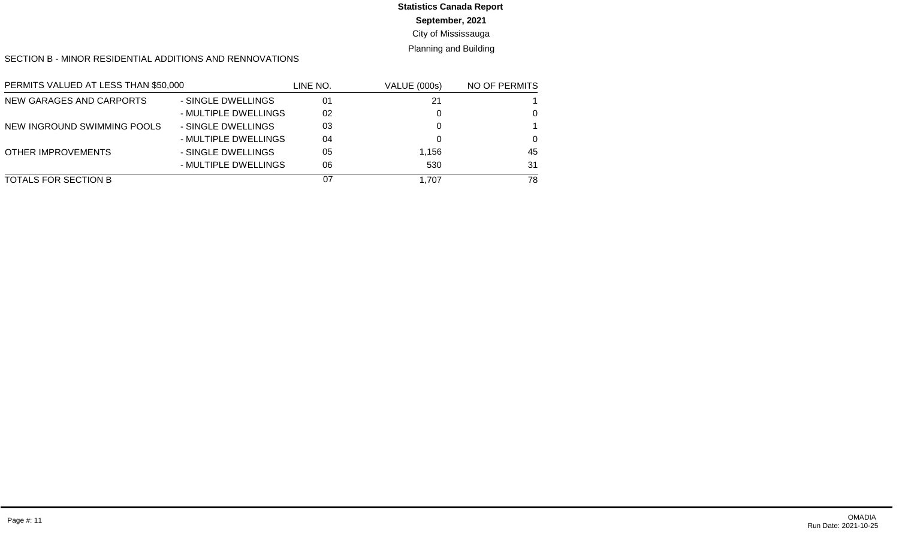# **Statistics Canada Report**

#### **September, 2021**

#### City of Mississauga

#### Planning and Building

#### SECTION B - MINOR RESIDENTIAL ADDITIONS AND RENNOVATIONS

| PERMITS VALUED AT LESS THAN \$50,000 |                      | LINE NO. | <b>VALUE (000s)</b> | NO OF PERMITS |
|--------------------------------------|----------------------|----------|---------------------|---------------|
| NEW GARAGES AND CARPORTS             | - SINGLE DWELLINGS   | 01       | 21                  |               |
|                                      | - MULTIPLE DWELLINGS | 02       |                     | $\Omega$      |
| NEW INGROUND SWIMMING POOLS          | - SINGLE DWELLINGS   | 03       |                     |               |
|                                      | - MULTIPLE DWELLINGS | 04       |                     | $\Omega$      |
| <b>OTHER IMPROVEMENTS</b>            | - SINGLE DWELLINGS   | 05       | 1,156               | 45            |
|                                      | - MULTIPLE DWELLINGS | 06       | 530                 | 31            |
| TOTALS FOR SECTION B                 |                      | 07       | 1.707               | 78            |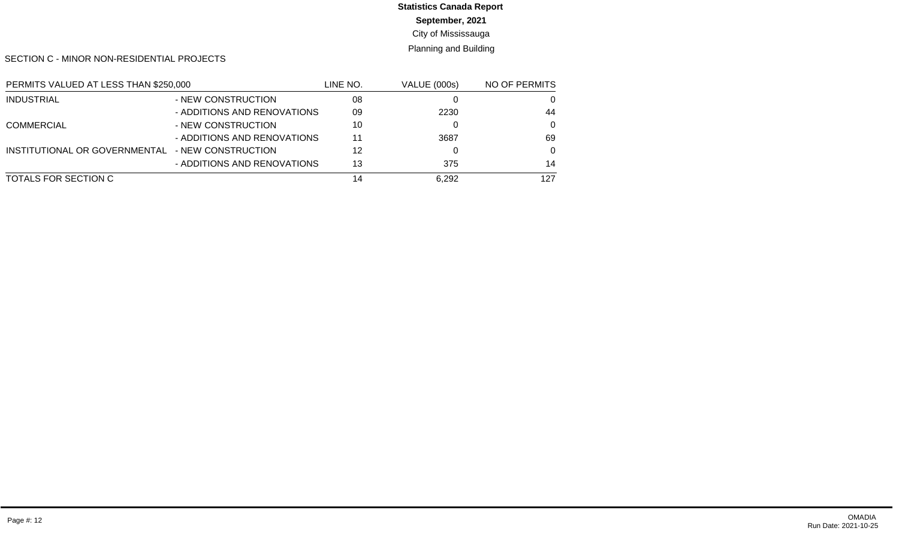# **Statistics Canada Report**

**September, 2021**

City of Mississauga

Planning and Building

SECTION C - MINOR NON-RESIDENTIAL PROJECTS

| PERMITS VALUED AT LESS THAN \$250,000 |                             | LINE NO. | <b>VALUE (000s)</b> | NO OF PERMITS |
|---------------------------------------|-----------------------------|----------|---------------------|---------------|
| <b>INDUSTRIAL</b>                     | - NEW CONSTRUCTION          | 08       |                     | 0             |
|                                       | - ADDITIONS AND RENOVATIONS | 09       | 2230                | 44            |
| <b>COMMERCIAL</b>                     | - NEW CONSTRUCTION          | 10       |                     | $\Omega$      |
|                                       | - ADDITIONS AND RENOVATIONS | 11       | 3687                | 69            |
| INSTITUTIONAL OR GOVERNMENTAL         | - NEW CONSTRUCTION          | 12       |                     | $\Omega$      |
|                                       | - ADDITIONS AND RENOVATIONS | 13       | 375                 | 14            |
| TOTALS FOR SECTION C                  |                             | 14       | 6,292               | 127           |